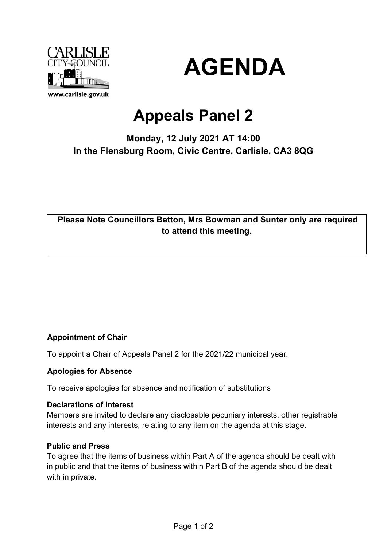



# **Appeals Panel 2**

# **Monday, 12 July 2021 AT 14:00 In the Flensburg Room, Civic Centre, Carlisle, CA3 8QG**

## **Please Note Councillors Betton, Mrs Bowman and Sunter only are required to attend this meeting.**

## **Appointment of Chair**

To appoint a Chair of Appeals Panel 2 for the 2021/22 municipal year.

#### **Apologies for Absence**

To receive apologies for absence and notification of substitutions

#### **Declarations of Interest**

Members are invited to declare any disclosable pecuniary interests, other registrable interests and any interests, relating to any item on the agenda at this stage.

#### **Public and Press**

To agree that the items of business within Part A of the agenda should be dealt with in public and that the items of business within Part B of the agenda should be dealt with in private.